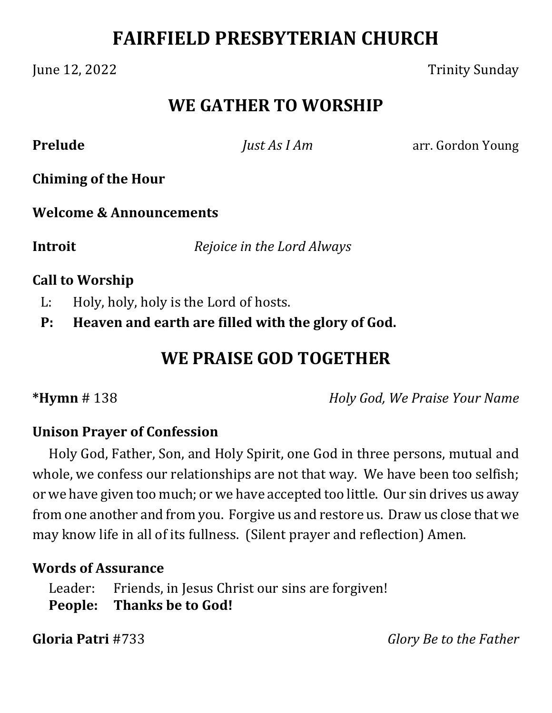# **FAIRFIELD PRESBYTERIAN CHURCH**

June 12, 2022 Trinity Sunday

# **WE GATHER TO WORSHIP**

**Prelude** *Just As I Am* arr. Gordon Young

**Chiming of the Hour**

**Welcome & Announcements**

**Introit**  *Rejoice in the Lord Always*

#### **Call to Worship**

L: Holy, holy, holy is the Lord of hosts.

**P: Heaven and earth are filled with the glory of God.**

# **WE PRAISE GOD TOGETHER**

**\*Hymn** # 138 *Holy God, We Praise Your Name*

## **Unison Prayer of Confession**

Holy God, Father, Son, and Holy Spirit, one God in three persons, mutual and whole, we confess our relationships are not that way. We have been too selfish; or we have given too much; or we have accepted too little. Our sin drives us away from one another and from you. Forgive us and restore us. Draw us close that we may know life in all of its fullness. (Silent prayer and reflection) Amen.

## **Words of Assurance**

Leader: Friends, in Jesus Christ our sins are forgiven! **People: Thanks be to God!**

**Gloria Patri** #733 *Glory Be to the Father*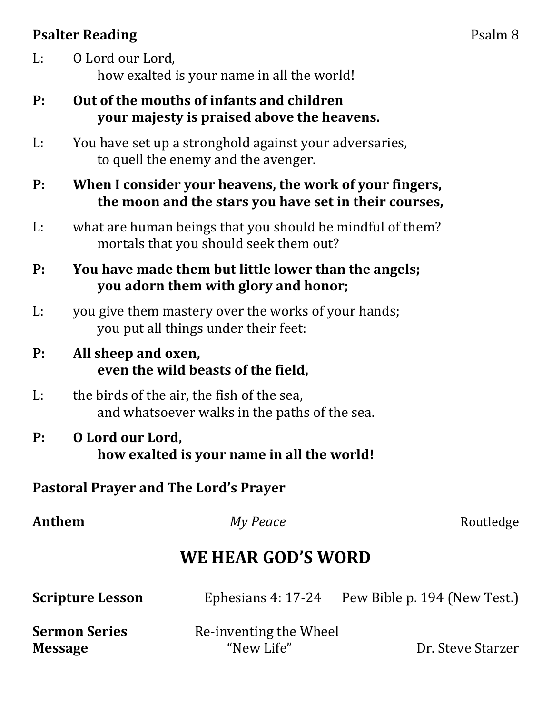## **Psalter Reading** Psalm 8

- L: O Lord our Lord, how exalted is your name in all the world!
- **P: Out of the mouths of infants and children your majesty is praised above the heavens.**
- L: You have set up a stronghold against your adversaries, to quell the enemy and the avenger.
- **P: When I consider your heavens, the work of your fingers, the moon and the stars you have set in their courses,**
- L: what are human beings that you should be mindful of them? mortals that you should seek them out?
- **P: You have made them but little lower than the angels; you adorn them with glory and honor;**
- L: you give them mastery over the works of your hands; you put all things under their feet:
- **P: All sheep and oxen, even the wild beasts of the field,**
- L: the birds of the air, the fish of the sea, and whatsoever walks in the paths of the sea.
- **P: O Lord our Lord, how exalted is your name in all the world!**

## **Pastoral Prayer and The Lord's Prayer**

| Anthem                  | My Peace               | Routledge                    |
|-------------------------|------------------------|------------------------------|
|                         | WE HEAR GOD'S WORD     |                              |
| <b>Scripture Lesson</b> | Ephesians $4:17-24$    | Pew Bible p. 194 (New Test.) |
| <b>Sermon Series</b>    | Re-inventing the Wheel |                              |
| <b>Message</b>          | "New Life"             | Dr. Steve Starzer            |